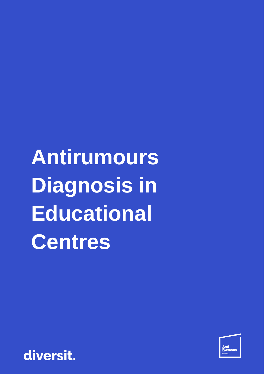**Antirumours Diagnosis in Educational Centres**



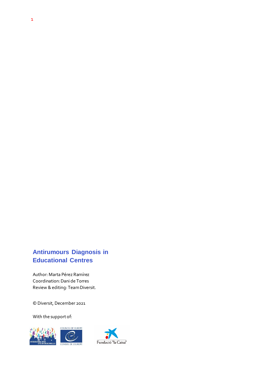# **Antirumours Diagnosis in Educational Centres**

Author: Marta Pérez Ramírez Coordination: Dani de Torres Review & editing: Team Diversit.

© Diversit, December 2021

With the support of:



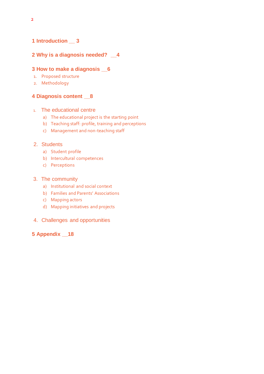## **1 Introduction \_\_ 3**

## **2 Why is a diagnosis needed? \_\_4**

#### **3 How to make a diagnosis \_\_6**

- 1. Proposed structure
- 2. Methodology

### **4 Diagnosis content \_\_8**

#### 1. The educational centre

- a) The educational project is the starting point
- b) Teaching staff: profile, training and perceptions
- c) Management and non-teaching staff

## 2. Students

- a) Student profile
- b) Intercultural competences
- c) Perceptions

#### 3. The community

- a) Institutional and social context
- b) Families and Parents' Associations
- c) Mapping actors
- d) Mapping initiatives and projects
- 4. Challenges and opportunities

#### **5 Appendix \_\_18**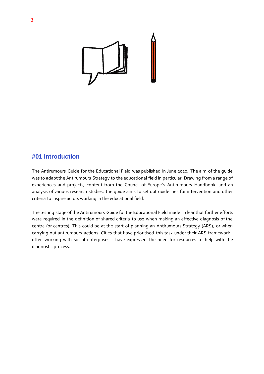

## **#01 Introduction**

The Antirumours Guide for the Educational Field was published in June 2020. The aim of the guide was to adapt the Antirumours Strategy to the educational field in particular. Drawing from a range of experiences and projects, content from the Council of Europe's Antirumours Handbook, and an analysis of various research studies, the guide aims to set out guidelines for intervention and other criteria to inspire actors working in the educational field.

The testing stage of the Antirumours Guide for the Educational Field made it clear that further efforts were required in the definition of shared criteria to use when making an effective diagnosis of the centre (or centres). This could be at the start of planning an Antirumours Strategy (ARS), or when carrying out antirumours actions. Cities that have prioritised this task under their ARS framework often working with social enterprises - have expressed the need for resources to help with the diagnostic process.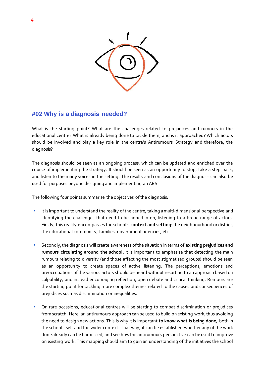

## **#02 Why is a diagnosis needed?**

What is the starting point? What are the challenges related to prejudices and rumours in the educational centre? What is already being done to tackle them, and is it approached? Which actors should be involved and play a key role in the centre's Antirumours Strategy and therefore, the diagnosis?

The diagnosis should be seen as an ongoing process, which can be updated and enriched over the course of implementing the strategy. It should be seen as an opportunity to stop, take a step back, and listen to the many voices in the setting. The results and conclusions of the diagnosis can also be used for purposes beyond designing and implementing an ARS.

The following four points summarise the objectives of the diagnosis:

- It is important to understand the reality of the centre, taking a multi-dimensional perspective and identifying the challenges that need to be honed in on, listening to a broad range of actors. Firstly, this reality encompasses the school's **context and setting**: the neighbourhood or district, the educational community, families, government agencies, etc.
- Secondly, the diagnosis will create awareness of the situation in terms of existing prejudices and **rumours circulating around the school**. It is important to emphasise that detecting the main rumours relating to diversity (and those affecting the most stigmatised groups) should be seen as an opportunity to create spaces of active listening. The perceptions, emotions and preoccupations of the various actors should be heard without resorting to an approach based on culpability, and instead encouraging reflection, open debate and critical thinking. Rumours are the starting point for tackling more complex themes related to the causes and consequences of prejudices such as discrimination or inequalities.
- **•** On rare occasions, educational centres will be starting to combat discrimination or prejudices from scratch. Here, an antirumours approach can be used to build on existing work, thus avoiding the need to design new actions. This is why it is important **to know what is being done,** both in the school itself and the wider context. That way, it can be established whether any of the work done already can be harnessed, and see how the antirumours perspective can be used to improve on existing work. This mapping should aim to gain an understanding of the initiatives the school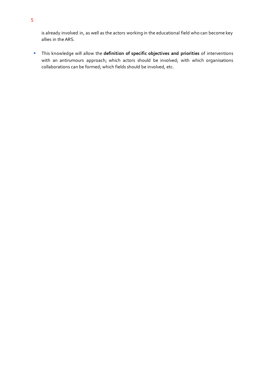is already involved in, as well as the actors working in the educational field who can become key allies in the ARS.

▪ This knowledge will allow the **definition of specific objectives and priorities** of interventions with an antirumours approach; which actors should be involved; with which organisations collaborations can be formed; which fields should be involved, etc.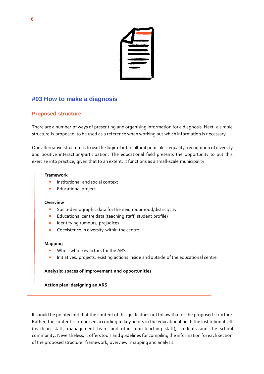

## **#03 How to make a diagnosis**

## **Proposed structure**

There are a number of ways of presenting and organising information for a diagnosis. Next, a simple structure is proposed, to be used as a reference when working out which information is necessary.

One alternative structure is to use the logic of intercultural principles: equality, recognition of diversity and positive interaction/participation. The educational field presents the opportunity to put this exercise into practice, given that to an extent, it functions as a small-scale municipality.

#### **Framework**

- Institutional and social context
- **Educational project**

#### **Overview**

- Socio-demographic data for the neighbourhood/district/city
- Educational centre data (teaching staff, student profile)
- **■** Identifying rumours, prejudices
- Coexistence in diversity within the centre

#### **Mapping**

- Who's who: key actors for the ARS
- **EXECUTE:** Initiatives, projects, existing actions inside and outside of the educational centre

### **Analysis: spaces of improvement and opportunities**

**Action plan: designing an ARS**

It should be pointed out that the content of this guide does not follow that of the proposed structure. Rather, the content is organised according to key actors in the educational field: the institution itself (teaching staff, management team and other non-teaching staff), students and the school community. Nevertheless, it offers tools and guidelines for compiling the information for each section of the proposed structure: framework, overview, mapping and analysis.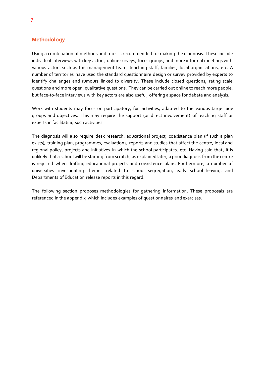#### **Methodology**

Using a combination of methods and tools is recommended for making the diagnosis. These include individual interviews with key actors, online surveys, focus groups, and more informal meetings with various actors such as the management team, teaching staff, families, local organisations, etc. A number of territories have used the standard questionnaire design or survey provided by experts to identify challenges and rumours linked to diversity. These include closed questions, rating scale questions and more open, qualitative questions. They can be carried out online to reach more people, but face-to-face interviews with key actors are also useful, offering a space for debate and analysis.

Work with students may focus on participatory, fun activities, adapted to the various target age groups and objectives. This may require the support (or direct involvement) of teaching staff or experts in facilitating such activities.

The diagnosis will also require desk research: educational project, coexistence plan (if such a plan exists), training plan, programmes, evaluations, reports and studies that affect the centre, local and regional policy, projects and initiatives in which the school participates, etc. Having said that, it is unlikely that a school will be starting from scratch; as explained later, a prior diagnosis from the centre is required when drafting educational projects and coexistence plans. Furthermore, a number of universities investigating themes related to school segregation, early school leaving, and Departments of Education release reports in this regard.

The following section proposes methodologies for gathering information. These proposals are referenced in the appendix, which includes examples of questionnaires and exercises.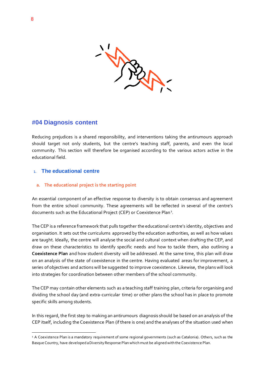

## **#04 Diagnosis content**

Reducing prejudices is a shared responsibility, and interventions taking the antirumours approach should target not only students, but the centre's teaching staff, parents, and even the local community. This section will therefore be organised according to the various actors active in the educational field.

### 1. **The educational centre**

#### **a. The educational project is the starting point**

An essential component of an effective response to diversity is to obtain consensus and agreement from the entire school community. These agreements will be reflected in several of the centre's documents such as the Educational Project (CEP) or Coexistence Plan<sup>1</sup>.

The CEP is a reference framework that pulls together the educational centre's identity, objectives and organisation. It sets out the curriculums approved by the education authorities, as well as how values are taught. Ideally, the centre will analyse the social and cultural context when drafting the CEP, and draw on these characteristics to identify specific needs and how to tackle them, also outlining a **Coexistence Plan** and how student diversity will be addressed. At the same time, this plan will draw on an analysis of the state of coexistence in the centre. Having evaluated areas for improvement, a series of objectives and actions will be suggested to improve coexistence. Likewise, the plans will look into strategies for coordination between other members of the school community.

The CEP may contain other elements such as a teaching staff training plan, criteria for organising and dividing the school day (and extra-curricular time) or other plans the school has in place to promote specific skills among students.

In this regard, the first step to making an antirumours diagnosis should be based on an analysis of the CEP itself, including the Coexistence Plan (if there is one) and the analyses of the situation used when

<sup>1</sup> A Coexistence Plan is a mandatory requirement of some regional governments (such as Catalonia). Others, such as the Basque Country, have developed a Diversity Response Plan which must be aligned with the Coexistence Plan.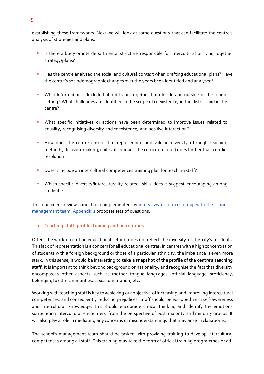establishing these frameworks. Next we will look at some questions that can facilitate the centre's analysis of strategies and plans.

- **■** Is there a body or interdepartmental structure responsible for intercultural or living together strategy/plans?
- Has the centre analysed the social and cultural context when drafting educational plans? Have the centre's sociodemographic changes over the years been identified and analysed?
- **•** What information is included about living together both inside and outside of the school setting? What challenges are identified in the scope of coexistence, in the district and in the centre?
- **■** What specific initiatives or actions have been determined to improve issues related to equality, recognising diversity and coexistence, and positive interaction?
- **■** How does the centre ensure that representing and valuing diversity (through teaching methods, decision-making, codes of conduct, the curriculum, etc.) goes further than conflict resolution?
- **•** Does it include an intercultural competences training plan for teaching staff?
- **•** Which specific diversity/interculturality-related skills does it suggest encouraging among students?

This document review should be complemented by interviews or a focus group with the school management team. Appendix 1 proposes sets of questions.

#### **b. Teaching staff: profile, training and perceptions**

Often, the workforce of an educational setting does not reflect the diversity of the city's residents. This lack of representation is a concern for all educational centres. In centres with a high concentration of students with a foreign background or those of a particular ethnicity, the imbalance is even more stark. In this sense, it would be interesting to **take a snapshot of the profile of the centre's teaching staff**. It is important to think beyond background or nationality, and recognise the fact that diversity encompasses other aspects such as mother tongue languages, official language proficiency, belonging to ethnic minorities, sexual orientation, etc.

Working with teaching staff is key to achieving our objective of increasing and improving intercultural competences, and consequently reducing prejudices. Staff should be equipped with self-awareness and intercultural knowledge. This should encourage critical thinking and identify the emotions surrounding intercultural encounters, from the perspective of both majority and minority groups. It will also play a role in mediating any concerns or misunderstandings that may arise in classrooms.

The school's management team should be tasked with providing training to develop intercultural competences among all staff. This training may take the form of official training programmes or ad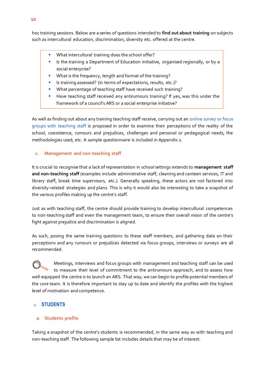hoc training sessions. Below are a series of questions intended to **find out about training** on subjects such as intercultural education, discrimination, diversity etc. offered at the centre.

- What intercultural training does the school offer?
- Is the training a Department of Education initiative, organised regionally, or by a social enterprise?
- What is the frequency, length and format of the training?
- Is training assessed? (in terms of expectations, results, etc.)?
- What percentage of teaching staff have received such training?
- Have teaching staff received any antirumours training? If yes, was this under the framework of a council's ARS or a social enterprise initiative?

As well as finding out about any training teaching staff receive, carrying out an online survey or focus groups with teaching staff is proposed in order to examine their perceptions of the reality of the school, coexistence, rumours and prejudices, challenges and personal or pedagogical needs, the methodologies used, etc. A sample questionnaire is included in Appendix 2.

#### **c. Management and non-teaching staff**

It is crucial to recognise that a lack of representation in school settings extends to **management staff and non-teaching staff** (examples include administrative staff, cleaning and canteen services, IT and library staff, break time supervisors, etc.). Generally speaking, these actors are not factored into diversity-related strategies and plans. This is why it would also be interesting to take a snapshot of the various profiles making up the centre's staff.

Just as with teaching staff, the centre should provide training to develop intercultural competences to non-teaching staff and even the management team, to ensure their overall vision of the centre's fight against prejudice and discrimination is aligned.

As such, posing the same training questions to these staff members, and gathering data on their perceptions and any rumours or prejudices detected via focus groups, interviews or surveys are all recommended.

Meetings, interviews and focus groups with management and teaching staff can be used to measure their level of commitment to the antirumours approach, and to assess how well-equipped the centre is to launch an ARS. That way, we can begin to profile potential members of the core team. It is therefore important to stay up to date and identify the profiles with the highest level of motivation and competence.

### 2. **STUDENTS**

#### **a. Students profile**

Taking a snapshot of the centre's students is recommended, in the same way as with teaching and non-teaching staff. The following sample list includes details that may be of interest: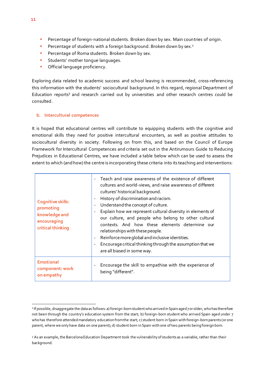- **E** Percentage of foreign-national students. Broken down by sex. Main countries of origin.
- **E** Percentage of students with a foreign background. Broken down by sex.<sup>2</sup>
- **•** Percentage of Roma students. Broken down by sex.
- **■** Students' mother tongue languages.
- **•** Official language proficiency.

Exploring data related to academic success and school leaving is recommended, cross-referencing this information with the students' sociocultural background. In this regard, regional Department of Education reports<sup>3</sup> and research carried out by universities and other research centres could be consulted.

#### **b. Intercultural competences**

It is hoped that educational centres will contribute to equipping students with the cognitive and emotional skills they need for positive intercultural encounters, as well as positive attitudes to sociocultural diversity in society. Following on from this, and based on the Council of Europe Framework for Intercultural Competences and criteria set out in the Antirumours Guide to Reducing Prejudices in Educational Centres, we have included a table below which can be used to assess the extent to which (and how) the centre is incorporating these criteria into its teaching and interventions:

| <b>Cognitive skills:</b><br>promoting<br>knowledge and<br>encouraging<br>critical thinking | Teach and raise awareness of the existence of different<br>$\blacksquare$<br>cultures and world-views, and raise awareness of different<br>cultures' historical background.<br>History of discrimination and racism.<br>$\overline{\phantom{m}}$<br>Understand the concept of culture.<br>$\overline{\phantom{0}}$<br>Explain how we represent cultural diversity in elements of<br>$\overline{\phantom{0}}$<br>our culture, and people who belong to other cultural<br>contexts. And how these elements determine our<br>relationships with these people.<br>Reinforce more global and inclusive identities.<br>$\overline{\phantom{m}}$<br>Encourage critical thinking through the assumption that we<br>$\overline{\phantom{a}}$<br>are all biased in some way. |
|--------------------------------------------------------------------------------------------|--------------------------------------------------------------------------------------------------------------------------------------------------------------------------------------------------------------------------------------------------------------------------------------------------------------------------------------------------------------------------------------------------------------------------------------------------------------------------------------------------------------------------------------------------------------------------------------------------------------------------------------------------------------------------------------------------------------------------------------------------------------------|
| <b>Emotional</b>                                                                           | Encourage the skill to empathise with the experience of                                                                                                                                                                                                                                                                                                                                                                                                                                                                                                                                                                                                                                                                                                            |
| component: work                                                                            | $\overline{\phantom{a}}$                                                                                                                                                                                                                                                                                                                                                                                                                                                                                                                                                                                                                                                                                                                                           |
| on empathy                                                                                 | being "different".                                                                                                                                                                                                                                                                                                                                                                                                                                                                                                                                                                                                                                                                                                                                                 |

<sup>2</sup> If possible, disaggregate the data as follows: a) foreign-born student who arrived in Spain aged 7 or older, who has therefore not been through the country's education system from the start; b) foreign-born student who arrived Spain aged under 7 who has therefore attended mandatory education from the start; c) student born in Spain with foreign-born parents (or one parent, where we only have data on one parent); d) student born in Spain with one of two parents being foreign born.

<sup>3</sup> As an example, the Barcelona Education Department took the vulnerability of students as a variable, rather than their background.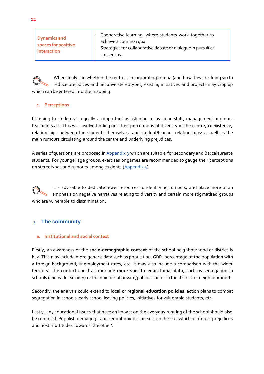

When analysing whether the centre is incorporating criteria (and how they are doing so) to reduce prejudices and negative stereotypes, existing initiatives and projects may crop up which can be entered into the mapping.

#### **c. Perceptions**

Listening to students is equally as important as listening to teaching staff, management and nonteaching staff. This will involve finding out their perceptions of diversity in the centre, coexistence, relationships between the students themselves, and student/teacher relationships; as well as the main rumours circulating around the centre and underlying prejudices.

A series of questions are proposed in Appendix 3 which are suitable for secondary and Baccalaureate students. For younger age groups, exercises or games are recommended to gauge their perceptions on stereotypes and rumours among students (Appendix 4).

It is advisable to dedicate fewer resources to identifying rumours, and place more of an emphasis on negative narratives relating to diversity and certain more stigmatised groups who are vulnerable to discrimination.

## 3. **The community**

#### **a. Institutional and social context**

Firstly, an awareness of the **socio-demographic context** of the school neighbourhood or district is key. This may include more generic data such as population, GDP, percentage of the population with a foreign background, unemployment rates, etc. It may also include a comparison with the wider territory. The context could also include **more specific educational data**, such as segregation in schools (and wider society) or the number of private/public schools in the district or neighbourhood.

Secondly, the analysis could extend to **local or regional education policies**: action plans to combat segregation in schools, early school leaving policies, initiatives for vulnerable students, etc.

Lastly, any educational issues that have an impact on the everyday running of the school should also be compiled. Populist, demagogic and xenophobic discourse is on the rise, which reinforces prejudices and hostile attitudes towards 'the other'.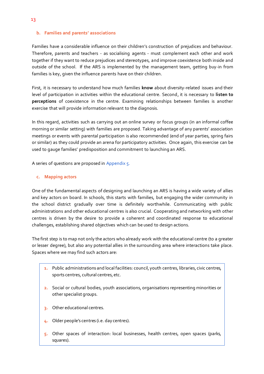#### **b. Families and parents' associations**

Families have a considerable influence on their children's construction of prejudices and behaviour. Therefore, parents and teachers - as socialising agents - must complement each other and work together if they want to reduce prejudices and stereotypes, and improve coexistence both inside and outside of the school. If the ARS is implemented by the management team, getting buy-in from families is key, given the influence parents have on their children.

First, it is necessary to understand how much families **know** about diversity-related issues and their level of participation in activities within the educational centre. Second, it is necessary to **listen to perceptions** of coexistence in the centre. Examining relationships between families is another exercise that will provide information relevant to the diagnosis.

In this regard, activities such as carrying out an online survey or focus groups (in an informal coffee morning or similar setting) with families are proposed. Taking advantage of any parents' association meetings or events with parental participation is also recommended (end of year parties, spring fairs or similar) as they could provide an arena for participatory activities. Once again, this exercise can be used to gauge families' predisposition and commitment to launching an ARS.

A series of questions are proposed in Appendix 5.

#### **c. Mapping actors**

One of the fundamental aspects of designing and launching an ARS is having a wide variety of allies and key actors on board. In schools, this starts with families, but engaging the wider community in the school district gradually over time is definitely worthwhile. Communicating with public administrations and other educational centres is also crucial. Cooperating and networking with other centres is driven by the desire to provide a coherent and coordinated response to educational challenges, establishing shared objectives which can be used to design actions.

The first step is to map not only the actors who already work with the educational centre (to a greater or lesser degree), but also any potential allies in the surrounding area where interactions take place. Spaces where we may find such actors are:

- **1.** Public administrations and local facilities: council, youth centres, libraries, civic centres, sports centres, cultural centres, etc.
- **2.** Social or cultural bodies, youth associations, organisations representing minorities or other specialist groups.
- **3.** Other educational centres.
- **4.** Older people's centres (i.e. day centres).
- **5.** Other spaces of interaction: local businesses, health centres, open spaces (parks, squares).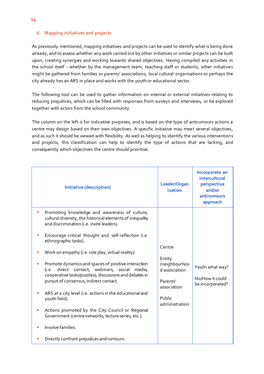#### **d. Mapping initiatives and projects**

As previously mentioned, mapping initiatives and projects can be used to identify what is being done already, and to assess whether any work carried out by other initiatives or similar projects can be built upon, creating synergies and working towards shared objectives. Having compiled any activities in the school itself - whether by the management team, teaching staff or students, other initiatives might be gathered from families or parents' associations, local cultural organisations or perhaps the city already has an ARS in place and works with the youth or educational sector.

The following tool can be used to gather information on internal or external initiatives relating to reducing prejudices, which can be filled with responses from surveys and interviews, or be explored together with actors from the school community.

The column on the left is for indicative purposes, and is based on the type of antirumours actions a centre may design based on their own objectives. A specific initiative may meet several objectives, and as such it should be viewed with flexibility. As well as helping to identify the various interventions and projects, this classification can help to identify the type of actions that are lacking, and consequently which objectives the centre should prioritise.

|                | Initiative (description)                                                                                                                                                                                                                                                                                                                                                                                                                                                                                                                                                                                                                                                                                                                                                | Leader/Organ<br>isation                                                                                   | Incorporate an<br>intercultural<br>perspective<br>and/or<br>antirumours<br>approach |
|----------------|-------------------------------------------------------------------------------------------------------------------------------------------------------------------------------------------------------------------------------------------------------------------------------------------------------------------------------------------------------------------------------------------------------------------------------------------------------------------------------------------------------------------------------------------------------------------------------------------------------------------------------------------------------------------------------------------------------------------------------------------------------------------------|-----------------------------------------------------------------------------------------------------------|-------------------------------------------------------------------------------------|
| H.<br>H.<br>H. | Promoting knowledge and awareness of culture,<br>cultural diversity, the historical elements of inequality<br>and discrimination (i.e. invite leaders).<br>Encourage critical thought and self-reflection (i.e.<br>ethnographic tasks).<br>Work on empathy (i.e. role play, virtual reality).<br>Promote dynamics and spaces of positive interaction<br>direct contact, webinars, social media,<br>(i.e.<br>cooperative tasks/puzzles), discussions and debates in<br>pursuit of consensus, indirect contact.<br>ARS at a city level (i.e. actions in the educational and<br>youth field).<br>Actions promoted by the City Council or Regional<br>Government (centre networks, lecture series, etc.).<br>Involve families.<br>Directly confront prejudices and rumours. | Centre<br>Entity<br>/neighbourhoo<br>d association<br>Parents'<br>association<br>Public<br>administration | Yes/In what way?<br>No/How it could<br>be incorporated?                             |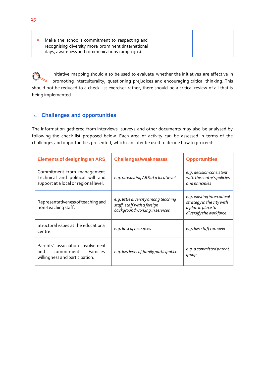| Make the school's commitment to respecting and      |  |
|-----------------------------------------------------|--|
| recognising diversity more prominent (international |  |
| days, awareness and communications campaigns).      |  |

Initiative mapping should also be used to evaluate whether the initiatives are effective in promoting interculturality, questioning prejudices and encouraging critical thinking. This should not be reduced to a check-list exercise; rather, there should be a critical review of all that is being implemented.

## 4. **Challenges and opportunities**

The information gathered from interviews, surveys and other documents may also be analysed by following the check-list proposed below. Each area of activity can be assessed in terms of the challenges and opportunities presented, which can later be used to decide how to proceed:

| <b>Elements of designing an ARS</b>                                                                      | <b>Challenges/weaknesses</b>                                                                          | <b>Opportunities</b>                                                                                      |
|----------------------------------------------------------------------------------------------------------|-------------------------------------------------------------------------------------------------------|-----------------------------------------------------------------------------------------------------------|
| Commitment from management.<br>Technical and political will and<br>support at a local or regional level. | e.g. no existing ARS at a local level                                                                 | e.g. decision consistent<br>with the centre's policies<br>and principles                                  |
| Representativeness of teaching and<br>non-teaching staff.                                                | e.g. little diversity among teaching<br>staff, staff with a foreign<br>background working in services | e.g. existing intercultural<br>strategy in the city with<br>a plan in place to<br>diversify the workforce |
| Structural issues at the educational<br>centre.                                                          | e.g. lack of resources                                                                                | e.g. low staff turnover                                                                                   |
| Parents' association involvement<br>and commitment. Families'<br>willingness and participation.          | e.g. low level of family participation                                                                | e.g. a committed parent<br>group                                                                          |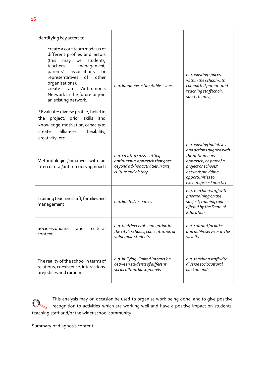| Identifying key actors to:                                                                                                                                                                                                                                                                                |                                                                                                                           |                                                                                                                                                                                              |
|-----------------------------------------------------------------------------------------------------------------------------------------------------------------------------------------------------------------------------------------------------------------------------------------------------------|---------------------------------------------------------------------------------------------------------------------------|----------------------------------------------------------------------------------------------------------------------------------------------------------------------------------------------|
| create a core team made up of<br>different profiles and actors<br>may<br>be<br>students,<br>(this<br>teachers,<br>management,<br>parents'<br>associations<br>or<br>representatives of<br>other<br>organisations).<br>Antirumours<br>create<br>an<br>Network in the future or join<br>an existing network. | e.g. language or timetable issues                                                                                         | e.g. existing spaces<br>within the school with<br>committed parents and<br>teaching staff (choir,<br>sports teams)                                                                           |
| *Evaluate: diverse profile, belief in<br>project, prior skills and<br>the<br>knowledge, motivation, capacity to<br>alliances,<br>flexibility,<br>create<br>creativity, etc.                                                                                                                               |                                                                                                                           |                                                                                                                                                                                              |
| Methodologies/initiatives with an<br>intercultural/antirumours approach                                                                                                                                                                                                                                   | e.g. create a cross-cutting<br>antirumours approach that goes<br>beyond ad-hoc activities in arts,<br>culture and history | e.g. existing initiatives<br>and actions aligned with<br>the antirumours<br>approach; be part of a<br>project or schools'<br>network providing<br>opportunities to<br>exchange best practice |
| Training teaching staff, families and<br>management                                                                                                                                                                                                                                                       | e.g. limited resources                                                                                                    | e.g. teaching staff with<br>prior training on the<br>subject; training courses<br>offered by the Dept. of<br>Education                                                                       |
| Socio-economic and<br>cultural<br>context                                                                                                                                                                                                                                                                 | e.g. high levels of segregation in<br>the city's schools, concentration of<br>vulnerable students                         | e.g. cultural facilities<br>and public services in the<br>vicinity                                                                                                                           |
| The reality of the school in terms of<br>relations, coexistence, interactions,<br>prejudices and rumours.                                                                                                                                                                                                 | e.g. bullying, limited interaction<br>between students of different<br>sociocultural backgrounds                          | e.g. teachingstaff with<br>diverse sociocultural<br>backgrounds                                                                                                                              |

This analysis may on occasion be used to organise work being done, and to give positive recognition to activities which are working well and have a positive impact on students, teaching staff and/or the wider school community.

Summary of diagnosis content: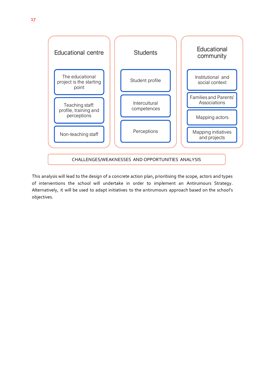

This analysis will lead to the design of a concrete action plan, prioritising the scope, actors and types of interventions the school will undertake in order to implement an Antirumours Strategy. Alternatively, it will be used to adapt initiatives to the antirumours approach based on the school's objectives.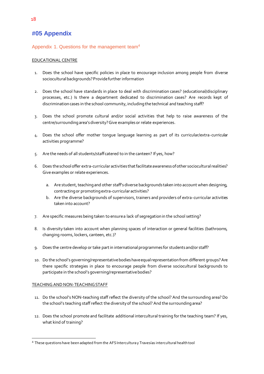## **#05 Appendix**

#### Appendix 1. Questions for the management team<sup>4</sup>

#### EDUCATIONAL CENTRE

- 1. Does the school have specific policies in place to encourage inclusion among people from diverse sociocultural backgrounds? Provide further information
- 2. Does the school have standards in place to deal with discrimination cases? (educational/disciplinary processes, etc.) Is there a department dedicated to discrimination cases? Are records kept of discrimination cases in the school community, including the technical and teaching staff?
- 3. Does the school promote cultural and/or social activities that help to raise awareness of the centre/surrounding area's diversity? Give examples or relate experiences.
- 4. Does the school offer mother tongue language learning as part of its curricular/extra-curricular activities programme?
- 5. Are the needs of all students/staff catered to in the canteen? If yes, how?
- 6. Does the school offer extra-curricular activities that facilitate awareness of other sociocultural realities? Give examples or relate experiences.
	- a. Are student, teaching and other staff's diverse backgrounds taken into account when designing, contracting or promoting extra-curricular activities?
	- b. Are the diverse backgrounds of supervisors, trainers and providers of extra-curricular activities taken into account?
- 7. Are specific measures being taken to ensure a lack of segregation in the school setting?
- 8. Is diversity taken into account when planning spaces of interaction or general facilities (bathrooms, changing rooms, lockers, canteen, etc.)?
- 9. Does the centre develop or take part in international programmes for students and/or staff?
- 10. Do the school's governing/representative bodies have equal representation from different groups? Are there specific strategies in place to encourage people from diverse sociocultural backgrounds to participate in the school's governing/representative bodies?

#### TEACHING AND NON-TEACHING STAFF

- 11. Do the school's NON-teaching staff reflect the diversity of the school? And the surrounding area? Do the school's teaching staff reflect the diversity of the school? And the surrounding area?
- 12. Does the school promote and facilitate additional intercultural training for the teaching team? If yes, what kind of training?

<sup>4</sup> These questions have been adapted from the AFS Intercultura y Travesías intercultural health tool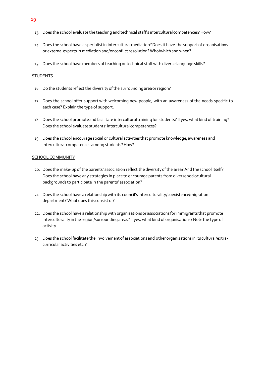- 13. Does the school evaluate the teaching and technical staff's intercultural competences? How?
- 14. Does the school have a specialist in intercultural mediation? Does it have the support of organisations or external experts in mediation and/or conflict resolution? Who/which and when?
- 15. Does the school have members of teaching or technical staff with diverse language skills?

#### **STUDENTS**

- 16. Do the students reflect the diversity of the surrounding area or region?
- 17. Does the school offer support with welcoming new people, with an awareness of the needs specific to each case? Explain the type of support.
- 18. Does the school promote and facilitate intercultural training for students? If yes, what kind of training? Does the school evaluate students' intercultural competences?
- 19. Does the school encourage social or cultural activities that promote knowledge, awareness and intercultural competences among students? How?

#### SCHOOL COMMUNITY

- 20. Does the make-up of the parents' association reflect the diversity of the area? And the school itself? Does the school have any strategies in place to encourage parents from diverse sociocultural backgrounds to participate in the parents' association?
- 21. Does the school have a relationship with its council's interculturality/coexistence/migration department? What does this consist of?
- 22. Does the school have a relationship with organisations or associations for immigrants that promote interculturality in the region/surrounding areas? If yes, what kind of organisations? Note the type of activity.
- 23. Does the school facilitate the involvement of associations and other organisations in its cultural/extracurricular activities etc.?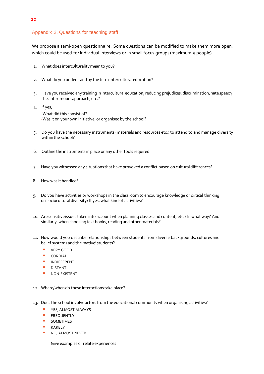#### Appendix 2. Questions for teaching staff

We propose a semi-open questionnaire. Some questions can be modified to make them more open, which could be used for individual interviews or in small focus groups (maximum 5 people).

- 1. What does interculturality mean to you?
- 2. What do you understand by the term intercultural education?
- 3. Have you received any training in intercultural education, reducing prejudices, discrimination, hate speech, the antirumours approach, etc.?
- 4. If yes, -What did this consist of? -Was it on your own initiative, or organised by the school?
- 5. Do you have the necessary instruments (materials and resources etc.) to attend to and manage diversity within the school?
- 6. Outline the instruments in place or any other tools required:
- 7. Have you witnessed any situations that have provoked a conflict based on cultural differences?
- 8. How was it handled?
- 9. Do you have activities or workshops in the classroom to encourage knowledge or critical thinking on sociocultural diversity? If yes, what kind of activities?
- 10. Are sensitive issues taken into account when planning classes and content, etc.? In what way? And similarly, when choosing text books, reading and other materials?
- 11. How would you describe relationships between students from diverse backgrounds, cultures and belief systems and the 'native' students?
	- VERY GOOD
	- CORDIAL
	- **INDIFFERENT**
	- **DISTANT**
	- NON-EXISTENT
- 12. Where/when do these interactions take place?
- 13. Does the school involve actors from the educational community when organising activities?
	- **E** YES, ALMOST ALWAYS
	- **E** FREQUENTLY
	- SOMETIMES
	- RARELY
	- **NO, ALMOST NEVER**

Give examples or relate experiences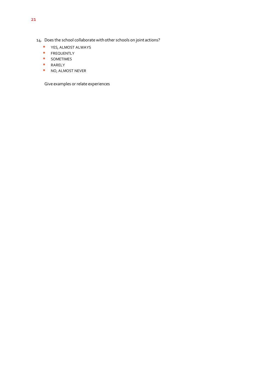- 14. Does the school collaborate with other schools on joint actions?
	- YES, ALMOST ALWAYS
	- **E** FREQUENTLY
	- SOMETIMES
	- RARELY
	- NO, ALMOST NEVER

Give examples or relate experiences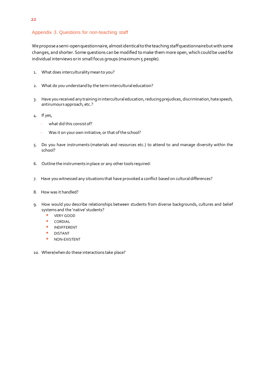#### Appendix 3. Questions for non-teaching staff

We propose a semi-open questionnaire, almost identical to the teaching staff questionnaire but with some changes, and shorter. Some questions can be modified to make them more open, which could be used for individual interviews or in small focus groups (maximum 5 people).

- 1. What does interculturality mean to you?
- 2. What do you understand by the term intercultural education?
- 3. Have you received any training in intercultural education, reducing prejudices, discrimination, hate speech, antirumours approach, etc.?
- 4. If yes,
	- what did this consist of?
	- Was it on your own initiative, or that of the school?
- 5. Do you have instruments (materials and resources etc.) to attend to and manage diversity within the school?
- 6. Outline the instruments in place or any other tools required:
- 7. Have you witnessed any situations that have provoked a conflict based on cultural differences?
- 8. How was it handled?
- 9. How would you describe relationships between students from diverse backgrounds, cultures and belief systems and the 'native' students?
	- VERY GOOD
	- CORDIAL
	- **INDIFFERENT**
	- **DISTANT**
	- **NON-EXISTENT**
- 10. Where/when do these interactions take place?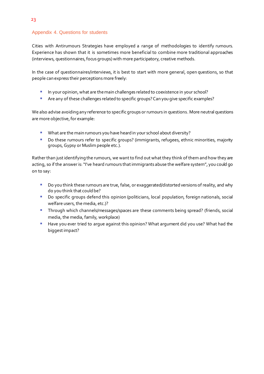#### Appendix 4. Questions for students

Cities with Antirumours Strategies have employed a range of methodologies to identify rumours. Experience has shown that it is sometimes more beneficial to combine more traditional approaches (interviews, questionnaires, focus groups) with more participatory, creative methods.

In the case of questionnaires/interviews, it is best to start with more general, open questions, so that people can express their perceptions more freely:

- **In your opinion, what are the main challenges related to coexistence in your school?**
- Are any of these challenges related to specific groups? Can you give specific examples?

We also advise avoiding any reference to specific groups or rumours in questions. More neutral questions are more objective, for example:

- What are the main rumours you have heard in your school about diversity?
- Do these rumours refer to specific groups? (immigrants, refugees, ethnic minorities, majority groups, Gypsy or Muslim people etc.).

Rather than just identifying the rumours, we want to find out what they think of them and how they are acting, so if the answer is: "I've heard rumours that immigrants abuse the welfare system", you could go on to say:

- Do you think these rumours are true, false, or exaggerated/distorted versions of reality, and why do you think that could be?
- Do specific groups defend this opinion (politicians, local population, foreign nationals, social welfare users, the media, etc.)?
- **■** Through which channels/messages/spaces are these comments being spread? (friends, social media, the media, family, workplace)
- Have you ever tried to argue against this opinion? What argument did you use? What had the biggest impact?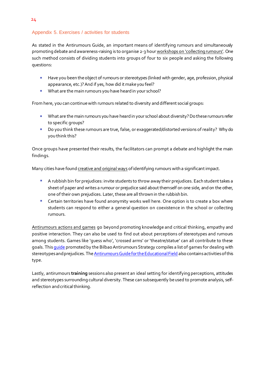#### Appendix 5. Exercises / activities for students

As stated in the Antirumours Guide, an important means of identifying rumours and simultaneously promoting debate and awareness-raising is to organise 2-3 hour workshops on 'collecting rumours'. One such method consists of dividing students into groups of four to six people and asking the following questions:

- **EXECT Have you been the object of rumours or stereotypes (linked with gender, age, profession, physical** appearance, etc.)? And if yes, how did it make you feel?
- **■** What are the main rumours you have heard in your school?

From here, you can continue with rumours related to diversity and different social groups:

- What are the main rumours you have heard in your school about diversity? Do these rumours refer to specific groups?
- Do you think these rumours are true, false, or exaggerated/distorted versions of reality? Why do you think this?

Once groups have presented their results, the facilitators can prompt a debate and highlight the main findings.

Many cities have found creative and original ways of identifying rumours with a significant impact.

- **E** A rubbish bin for prejudices: invite students to throw away their prejudices. Each student takes a sheet of paper and writes a rumour or prejudice said about themself on one side, and on the other, one of their own prejudices. Later, these are all thrown in the rubbish bin.
- Certain territories have found anonymity works well here. One option is to create a box where students can respond to either a general question on coexistence in the school or collecting rumours.

Antirumours actions and games go beyond promoting knowledge and critical thinking, empathy and positive interaction. They can also be used to find out about perceptions of stereotypes and rumours among students. Games like 'guess who', 'crossed arms' or 'theatre/statue' can all contribute to these goals. This *quide* promoted by the Bilbao Antirumours Strategy compiles a list of games for dealing with stereotypes and prejudices. Th[e Antirumours Guide for the Educational Field](http://www.ciudadesinterculturales.com/wp-content/uploads/2020/06/Antirumores-en-el-ámbito-educativo.pdf) also contains activities of this type.

Lastly, antirumours **training** sessions also present an ideal setting for identifying perceptions, attitudes and stereotypes surrounding cultural diversity. These can subsequently be used to promote analysis, selfreflection and critical thinking.